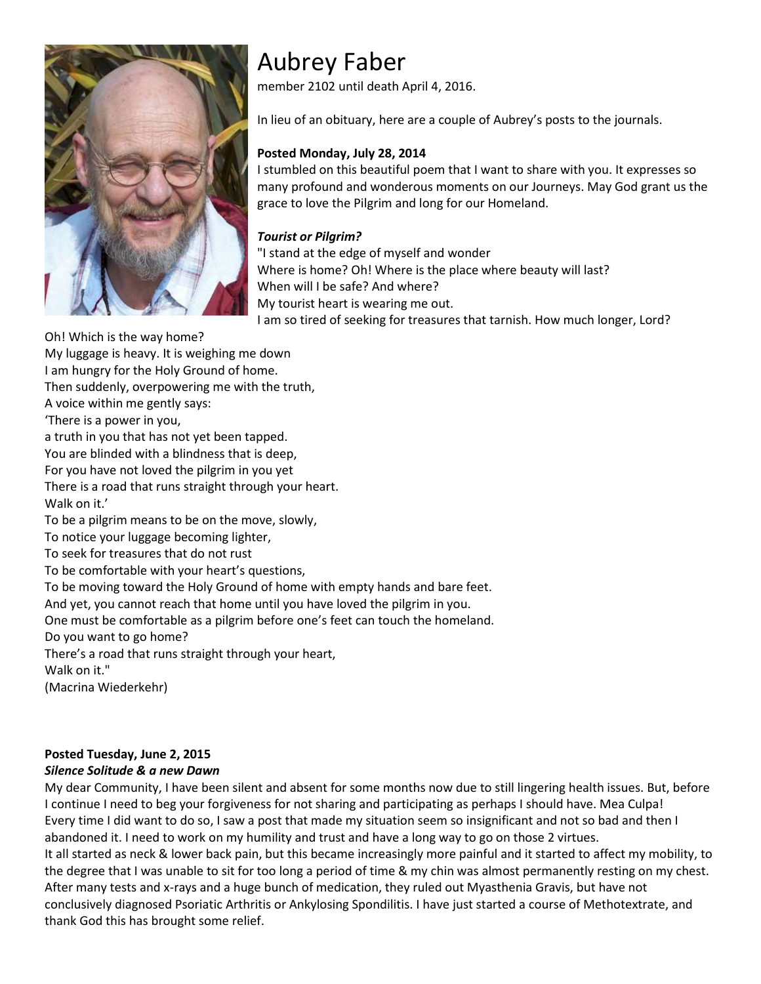

# Aubrey Faber

member 2102 until death April 4, 2016.

In lieu of an obituary, here are a couple of Aubrey's posts to the journals.

## **Posted Monday, July 28, 2014**

I stumbled on this beautiful poem that I want to share with you. It expresses so many profound and wonderous moments on our Journeys. May God grant us the grace to love the Pilgrim and long for our Homeland.

## *Tourist or Pilgrim?*

"I stand at the edge of myself and wonder Where is home? Oh! Where is the place where beauty will last? When will I be safe? And where? My tourist heart is wearing me out. I am so tired of seeking for treasures that tarnish. How much longer, Lord?

Oh! Which is the way home?

My luggage is heavy. It is weighing me down

I am hungry for the Holy Ground of home.

Then suddenly, overpowering me with the truth,

A voice within me gently says:

'There is a power in you,

a truth in you that has not yet been tapped.

You are blinded with a blindness that is deep,

For you have not loved the pilgrim in you yet

There is a road that runs straight through your heart.

Walk on it.'

To be a pilgrim means to be on the move, slowly,

To notice your luggage becoming lighter,

To seek for treasures that do not rust

To be comfortable with your heart's questions,

To be moving toward the Holy Ground of home with empty hands and bare feet.

And yet, you cannot reach that home until you have loved the pilgrim in you.

One must be comfortable as a pilgrim before one's feet can touch the homeland.

Do you want to go home?

There's a road that runs straight through your heart,

Walk on it."

(Macrina Wiederkehr)

# **Posted Tuesday, June 2, 2015**

# *Silence Solitude & a new Dawn*

My dear Community, I have been silent and absent for some months now due to still lingering health issues. But, before I continue I need to beg your forgiveness for not sharing and participating as perhaps I should have. Mea Culpa! Every time I did want to do so, I saw a post that made my situation seem so insignificant and not so bad and then I abandoned it. I need to work on my humility and trust and have a long way to go on those 2 virtues. It all started as neck & lower back pain, but this became increasingly more painful and it started to affect my mobility, to the degree that I was unable to sit for too long a period of time & my chin was almost permanently resting on my chest. After many tests and x-rays and a huge bunch of medication, they ruled out Myasthenia Gravis, but have not conclusively diagnosed Psoriatic Arthritis or Ankylosing Spondilitis. I have just started a course of Methotextrate, and thank God this has brought some relief.